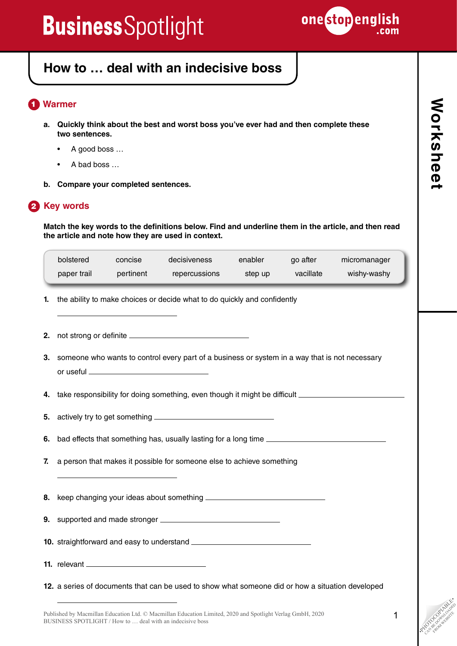

## **How to … deal with an indecisive boss**

### **Warmer** 1

- **a. Quickly think about the best and worst boss you've ever had and then complete these two sentences.**
	- A good boss …
	- A bad boss …
- **b. Compare your completed sentences.**

### **2** Key words

**Match the key words to the definitions below. Find and underline them in the article, and then read the article and note how they are used in context.**

|    | bolstered<br>paper trail                                                 | concise | decisiveness<br>pertinent repercussions                                                             | enabler<br>step up | go after<br>vacillate | micromanager<br>wishy-washy |
|----|--------------------------------------------------------------------------|---------|-----------------------------------------------------------------------------------------------------|--------------------|-----------------------|-----------------------------|
| 1. | the ability to make choices or decide what to do quickly and confidently |         |                                                                                                     |                    |                       |                             |
| 2. |                                                                          |         |                                                                                                     |                    |                       |                             |
|    |                                                                          |         | 3. someone who wants to control every part of a business or system in a way that is not necessary   |                    |                       |                             |
|    |                                                                          |         | 4. take responsibility for doing something, even though it might be difficult _____________________ |                    |                       |                             |
|    |                                                                          |         |                                                                                                     |                    |                       |                             |
|    |                                                                          |         | 6. bad effects that something has, usually lasting for a long time ________________________________ |                    |                       |                             |
| 7. | a person that makes it possible for someone else to achieve something    |         |                                                                                                     |                    |                       |                             |
|    |                                                                          |         |                                                                                                     |                    |                       |                             |
|    |                                                                          |         |                                                                                                     |                    |                       |                             |
|    |                                                                          |         |                                                                                                     |                    |                       |                             |
|    |                                                                          |         |                                                                                                     |                    |                       |                             |
|    |                                                                          |         | 12. a series of documents that can be used to show what someone did or how a situation developed    |                    |                       |                             |

Published by Macmillan Education Ltd. © Macmillan Education Limited, 2020 and Spotlight Verlag GmbH, 2020 BUSINESS SPOTLIGHT / How to … deal with an indecisive boss

**PHOTOCOPIABLE** CAN BE DOWNLOAD FROM WEBSITE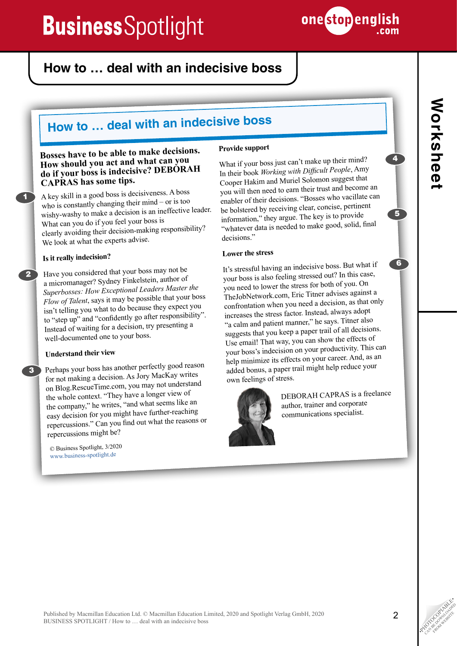

## **How to … deal with an indecisive boss**

## **How to … deal with an indecisive boss**

#### **Bosses have to be able to make decisions. How should you act and what can you do if your boss is indecisive? DEBORAH CAPRAS has some tips.**

A key skill in a good boss is decisiveness. A boss who is constantly changing their mind – or is too wishy-washy to make a decision is an ineffective leader. What can you do if you feel your boss is clearly avoiding their decision-making responsibility? We look at what the experts advise.

#### **Is it really indecision?**

1

2

Have you considered that your boss may not be a micromanager? Sydney Finkelstein, author of *Superbosses: How Exceptional Leaders Master the Flow of Talent*, says it may be possible that your boss isn't telling you what to do because they expect you to "step up" and "confidently go after responsibility". Instead of waiting for a decision, try presenting a well-documented one to your boss.

#### **Understand their view**

**3** Perhaps your boss has another perfectly good reason for not making a decision. As Jory MacKay writes on Blog.RescueTime.com, you may not understand the whole context. "They have a longer view of the company," he writes, "and what seems like an easy decision for you might have further-reaching repercussions." Can you find out what the reasons or repercussions might be?

> © Business Spotlight, 3/2020 www.business-spotlight.de

#### **Provide support**

What if your boss just can't make up their mind? In their book *Working with Difficult People*, Amy Cooper Hakim and Muriel Solomon suggest that you will then need to earn their trust and become an enabler of their decisions. "Bosses who vacillate can be bolstered by receiving clear, concise, pertinent information," they argue. The key is to provide "whatever data is needed to make good, solid, final decisions."

#### **Lower the stress**

It's stressful having an indecisive boss. But what if your boss is also feeling stressed out? In this case, you need to lower the stress for both of you. On TheJobNetwork.com, Eric Titner advises against a confrontation when you need a decision, as that only increases the stress factor. Instead, always adopt "a calm and patient manner," he says. Titner also suggests that you keep a paper trail of all decisions. Use email! That way, you can show the effects of your boss's indecision on your productivity. This can help minimize its effects on your career. And, as an added bonus, a paper trail might help reduce your own feelings of stress.



DEBORAH CAPRAS is a freelance author, trainer and corporate communications specialist.

4

5

6

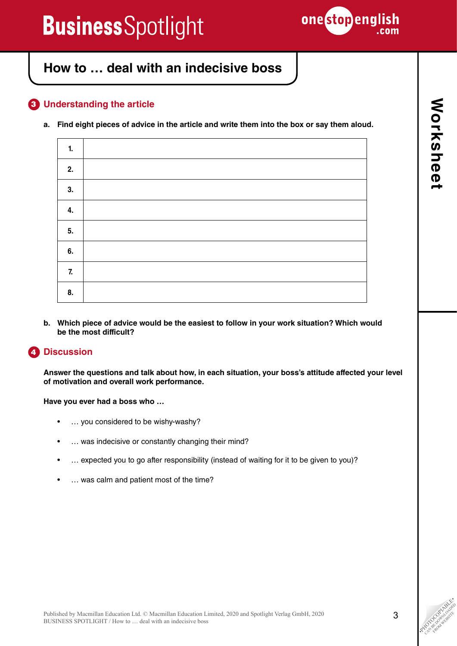

## **How to … deal with an indecisive boss**

### **Understanding the article**  3

**a. Find eight pieces of advice in the article and write them into the box or say them aloud.**

| 1. |  |
|----|--|
| 2. |  |
| 3. |  |
| 4. |  |
| 5. |  |
| 6. |  |
| 7. |  |
| 8. |  |

**b. Which piece of advice would be the easiest to follow in your work situation? Which would be the most difficult?**

#### **Discussion** 4

**Answer the questions and talk about how, in each situation, your boss's attitude affected your level of motivation and overall work performance.**

**Have you ever had a boss who …**

- … you considered to be wishy-washy?
- … was indecisive or constantly changing their mind?
- … expected you to go after responsibility (instead of waiting for it to be given to you)?
- ... was calm and patient most of the time?